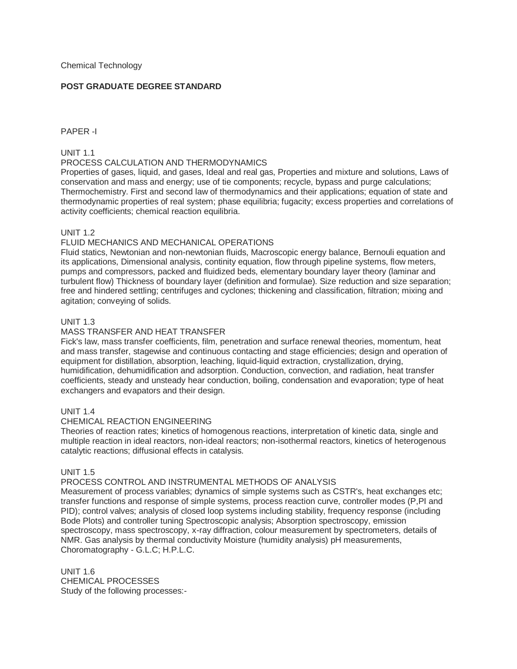## **POST GRADUATE DEGREE STANDARD**

### PAPER -I

## UNIT 1.1

## PROCESS CALCULATION AND THERMODYNAMICS

Properties of gases, liquid, and gases, Ideal and real gas, Properties and mixture and solutions, Laws of conservation and mass and energy; use of tie components; recycle, bypass and purge calculations; Thermochemistry. First and second law of thermodynamics and their applications; equation of state and thermodynamic properties of real system; phase equilibria; fugacity; excess properties and correlations of activity coefficients; chemical reaction equilibria.

## UNIT 1.2

## FLUID MECHANICS AND MECHANICAL OPERATIONS

Fluid statics, Newtonian and non-newtonian fluids, Macroscopic energy balance, Bernouli equation and its applications, Dimensional analysis, continity equation, flow through pipeline systems, flow meters, pumps and compressors, packed and fluidized beds, elementary boundary layer theory (laminar and turbulent flow) Thickness of boundary layer (definition and formulae). Size reduction and size separation; free and hindered settling; centrifuges and cyclones; thickening and classification, filtration; mixing and agitation; conveying of solids.

### UNIT 1.3

## MASS TRANSFER AND HEAT TRANSFER

Fick's law, mass transfer coefficients, film, penetration and surface renewal theories, momentum, heat and mass transfer, stagewise and continuous contacting and stage efficiencies; design and operation of equipment for distillation, absorption, leaching, liquid-liquid extraction, crystallization, drying, humidification, dehumidification and adsorption. Conduction, convection, and radiation, heat transfer coefficients, steady and unsteady hear conduction, boiling, condensation and evaporation; type of heat exchangers and evapators and their design.

### UNIT 1.4

### CHEMICAL REACTION ENGINEERING

Theories of reaction rates; kinetics of homogenous reactions, interpretation of kinetic data, single and multiple reaction in ideal reactors, non-ideal reactors; non-isothermal reactors, kinetics of heterogenous catalytic reactions; diffusional effects in catalysis.

### UNIT 1.5

### PROCESS CONTROL AND INSTRUMENTAL METHODS OF ANALYSIS

Measurement of process variables; dynamics of simple systems such as CSTR's, heat exchanges etc; transfer functions and response of simple systems, process reaction curve, controller modes (P,PI and PID); control valves; analysis of closed loop systems including stability, frequency response (including Bode Plots) and controller tuning Spectroscopic analysis; Absorption spectroscopy, emission spectroscopy, mass spectroscopy, x-ray diffraction, colour measurement by spectrometers, details of NMR. Gas analysis by thermal conductivity Moisture (humidity analysis) pH measurements, Choromatography - G.L.C; H.P.L.C.

UNIT 1.6 CHEMICAL PROCESSES Study of the following processes:-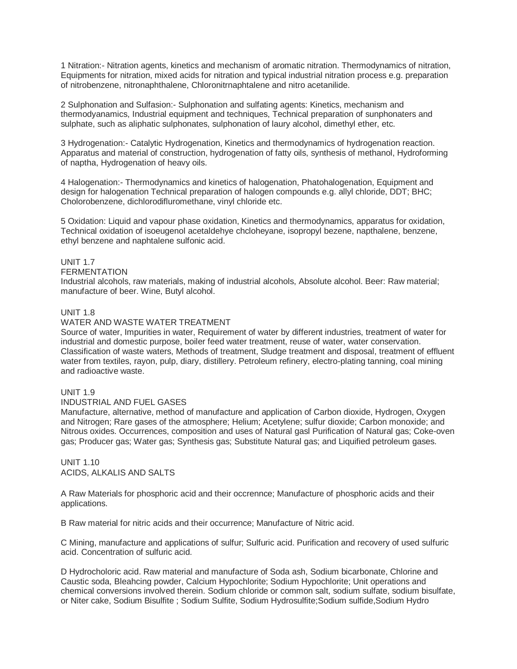1 Nitration:- Nitration agents, kinetics and mechanism of aromatic nitration. Thermodynamics of nitration, Equipments for nitration, mixed acids for nitration and typical industrial nitration process e.g. preparation of nitrobenzene, nitronaphthalene, Chloronitrnaphtalene and nitro acetanilide.

2 Sulphonation and Sulfasion:- Sulphonation and sulfating agents: Kinetics, mechanism and thermodyanamics, Industrial equipment and techniques, Technical preparation of sunphonaters and sulphate, such as aliphatic sulphonates, sulphonation of laury alcohol, dimethyl ether, etc.

3 Hydrogenation:- Catalytic Hydrogenation, Kinetics and thermodynamics of hydrogenation reaction. Apparatus and material of construction, hydrogenation of fatty oils, synthesis of methanol, Hydroforming of naptha, Hydrogenation of heavy oils.

4 Halogenation:- Thermodynamics and kinetics of halogenation, Phatohalogenation, Equipment and design for halogenation Technical preparation of halogen compounds e.g. allyl chloride, DDT; BHC; Cholorobenzene, dichlorodifluromethane, vinyl chloride etc.

5 Oxidation: Liquid and vapour phase oxidation, Kinetics and thermodynamics, apparatus for oxidation, Technical oxidation of isoeugenol acetaldehye chcloheyane, isopropyl bezene, napthalene, benzene, ethyl benzene and naphtalene sulfonic acid.

# UNIT 17

#### **FERMENTATION**

Industrial alcohols, raw materials, making of industrial alcohols, Absolute alcohol. Beer: Raw material; manufacture of beer. Wine, Butyl alcohol.

### UNIT 1.8

#### WATER AND WASTE WATER TREATMENT

Source of water, Impurities in water, Requirement of water by different industries, treatment of water for industrial and domestic purpose, boiler feed water treatment, reuse of water, water conservation. Classification of waste waters, Methods of treatment, Sludge treatment and disposal, treatment of effluent water from textiles, rayon, pulp, diary, distillery. Petroleum refinery, electro-plating tanning, coal mining and radioactive waste.

### UNIT 1.9

#### INDUSTRIAL AND FUEL GASES

Manufacture, alternative, method of manufacture and application of Carbon dioxide, Hydrogen, Oxygen and Nitrogen; Rare gases of the atmosphere; Helium; Acetylene; sulfur dioxide; Carbon monoxide; and Nitrous oxides. Occurrences, composition and uses of Natural gasl Purification of Natural gas; Coke-oven gas; Producer gas; Water gas; Synthesis gas; Substitute Natural gas; and Liquified petroleum gases.

UNIT 1.10 ACIDS, ALKALIS AND SALTS

A Raw Materials for phosphoric acid and their occrennce; Manufacture of phosphoric acids and their applications.

B Raw material for nitric acids and their occurrence; Manufacture of Nitric acid.

C Mining, manufacture and applications of sulfur; Sulfuric acid. Purification and recovery of used sulfuric acid. Concentration of sulfuric acid.

D Hydrocholoric acid. Raw material and manufacture of Soda ash, Sodium bicarbonate, Chlorine and Caustic soda, Bleahcing powder, Calcium Hypochlorite; Sodium Hypochlorite; Unit operations and chemical conversions involved therein. Sodium chloride or common salt, sodium sulfate, sodium bisulfate, or Niter cake, Sodium Bisulfite ; Sodium Sulfite, Sodium Hydrosulfite;Sodium sulfide,Sodium Hydro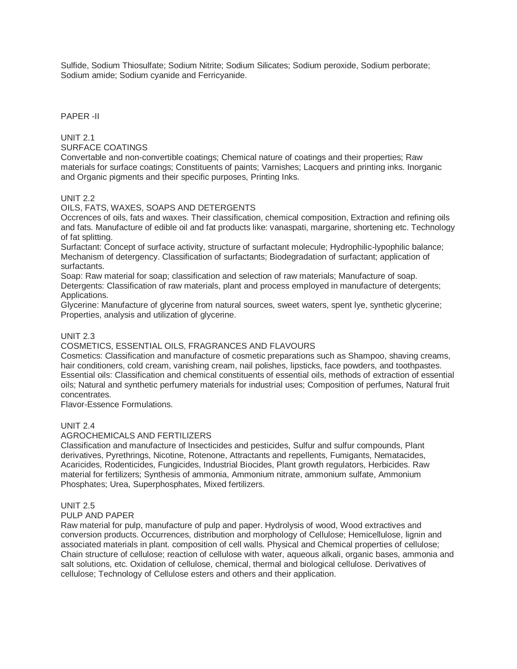Sulfide, Sodium Thiosulfate; Sodium Nitrite; Sodium Silicates; Sodium peroxide, Sodium perborate; Sodium amide; Sodium cyanide and Ferricyanide.

PAPER -II

UNIT 2.1

SURFACE COATINGS

Convertable and non-convertible coatings; Chemical nature of coatings and their properties; Raw materials for surface coatings; Constituents of paints; Varnishes; Lacquers and printing inks. Inorganic and Organic pigments and their specific purposes, Printing Inks.

UNIT 2.2

### OILS, FATS, WAXES, SOAPS AND DETERGENTS

Occrences of oils, fats and waxes. Their classification, chemical composition, Extraction and refining oils and fats. Manufacture of edible oil and fat products like: vanaspati, margarine, shortening etc. Technology of fat splitting.

Surfactant: Concept of surface activity, structure of surfactant molecule; Hydrophilic-lypophilic balance; Mechanism of detergency. Classification of surfactants; Biodegradation of surfactant; application of surfactants.

Soap: Raw material for soap; classification and selection of raw materials; Manufacture of soap. Detergents: Classification of raw materials, plant and process employed in manufacture of detergents; Applications.

Glycerine: Manufacture of glycerine from natural sources, sweet waters, spent lye, synthetic glycerine; Properties, analysis and utilization of glycerine.

## UNIT 2.3

## COSMETICS, ESSENTIAL OILS, FRAGRANCES AND FLAVOURS

Cosmetics: Classification and manufacture of cosmetic preparations such as Shampoo, shaving creams, hair conditioners, cold cream, vanishing cream, nail polishes, lipsticks, face powders, and toothpastes. Essential oils: Classification and chemical constituents of essential oils, methods of extraction of essential oils; Natural and synthetic perfumery materials for industrial uses; Composition of perfumes, Natural fruit concentrates.

Flavor-Essence Formulations.

### UNIT 2.4

### AGROCHEMICALS AND FERTILIZERS

Classification and manufacture of Insecticides and pesticides, Sulfur and sulfur compounds, Plant derivatives, Pyrethrings, Nicotine, Rotenone, Attractants and repellents, Fumigants, Nematacides, Acaricides, Rodenticides, Fungicides, Industrial Biocides, Plant growth regulators, Herbicides. Raw material for fertilizers; Synthesis of ammonia, Ammonium nitrate, ammonium sulfate, Ammonium Phosphates; Urea, Superphosphates, Mixed fertilizers.

UNIT 2.5

### PULP AND PAPER

Raw material for pulp, manufacture of pulp and paper. Hydrolysis of wood, Wood extractives and conversion products. Occurrences, distribution and morphology of Cellulose; Hemicellulose, lignin and associated materials in plant. composition of cell walls. Physical and Chemical properties of cellulose; Chain structure of cellulose; reaction of cellulose with water, aqueous alkali, organic bases, ammonia and salt solutions, etc. Oxidation of cellulose, chemical, thermal and biological cellulose. Derivatives of cellulose; Technology of Cellulose esters and others and their application.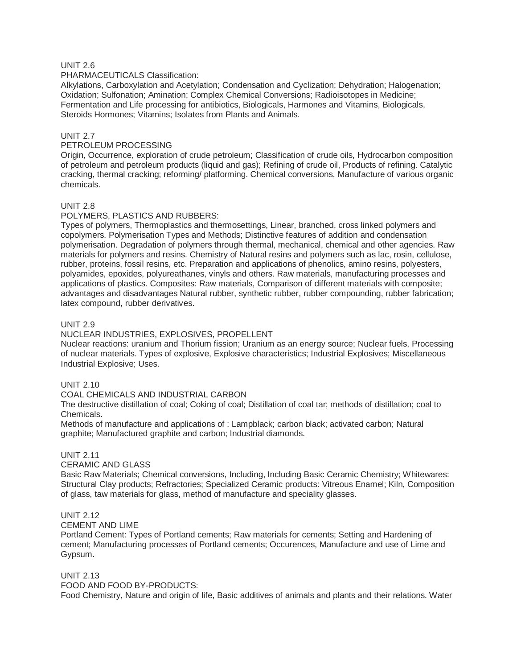## UNIT 2.6

#### PHARMACEUTICALS Classification:

Alkylations, Carboxylation and Acetylation; Condensation and Cyclization; Dehydration; Halogenation; Oxidation; Sulfonation; Amination; Complex Chemical Conversions; Radioisotopes in Medicine; Fermentation and Life processing for antibiotics, Biologicals, Harmones and Vitamins, Biologicals, Steroids Hormones; Vitamins; Isolates from Plants and Animals.

### UNIT 2.7

### PETROLEUM PROCESSING

Origin, Occurrence, exploration of crude petroleum; Classification of crude oils, Hydrocarbon composition of petroleum and petroleum products (liquid and gas); Refining of crude oil, Products of refining. Catalytic cracking, thermal cracking; reforming/ platforming. Chemical conversions, Manufacture of various organic chemicals.

### UNIT 2.8

### POLYMERS, PLASTICS AND RUBBERS:

Types of polymers, Thermoplastics and thermosettings, Linear, branched, cross linked polymers and copolymers. Polymerisation Types and Methods; Distinctive features of addition and condensation polymerisation. Degradation of polymers through thermal, mechanical, chemical and other agencies. Raw materials for polymers and resins. Chemistry of Natural resins and polymers such as lac, rosin, cellulose, rubber, proteins, fossil resins, etc. Preparation and applications of phenolics, amino resins, polyesters, polyamides, epoxides, polyureathanes, vinyls and others. Raw materials, manufacturing processes and applications of plastics. Composites: Raw materials, Comparison of different materials with composite; advantages and disadvantages Natural rubber, synthetic rubber, rubber compounding, rubber fabrication; latex compound, rubber derivatives.

#### UNIT 2.9

#### NUCLEAR INDUSTRIES, EXPLOSIVES, PROPELLENT

Nuclear reactions: uranium and Thorium fission; Uranium as an energy source; Nuclear fuels, Processing of nuclear materials. Types of explosive, Explosive characteristics; Industrial Explosives; Miscellaneous Industrial Explosive; Uses.

#### UNIT 2.10

#### COAL CHEMICALS AND INDUSTRIAL CARBON

The destructive distillation of coal; Coking of coal; Distillation of coal tar; methods of distillation; coal to Chemicals.

Methods of manufacture and applications of : Lampblack; carbon black; activated carbon; Natural graphite; Manufactured graphite and carbon; Industrial diamonds.

### UNIT 2.11

## CERAMIC AND GLASS

Basic Raw Materials; Chemical conversions, Including, Including Basic Ceramic Chemistry; Whitewares: Structural Clay products; Refractories; Specialized Ceramic products: Vitreous Enamel; Kiln, Composition of glass, taw materials for glass, method of manufacture and speciality glasses.

### UNIT 2.12

### CEMENT AND LIME

Portland Cement: Types of Portland cements; Raw materials for cements; Setting and Hardening of cement; Manufacturing processes of Portland cements; Occurences, Manufacture and use of Lime and Gypsum.

#### UNIT 2.13

FOOD AND FOOD BY-PRODUCTS:

Food Chemistry, Nature and origin of life, Basic additives of animals and plants and their relations. Water